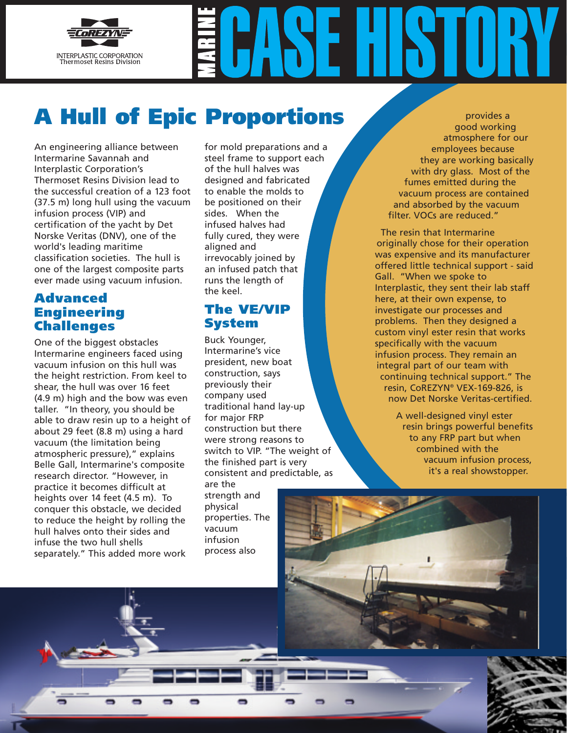

# **A Hull of Epic Proportions**

An engineering alliance between Intermarine Savannah and Interplastic Corporation's Thermoset Resins Division lead to the successful creation of a 123 foot (37.5 m) long hull using the vacuum infusion process (VIP) and certification of the yacht by Det Norske Veritas (DNV), one of the world's leading maritime classification societies. The hull is one of the largest composite parts ever made using vacuum infusion.

## **Advanced Engineering Challenges**

One of the biggest obstacles Intermarine engineers faced using vacuum infusion on this hull was the height restriction. From keel to shear, the hull was over 16 feet (4.9 m) high and the bow was even taller. "In theory, you should be able to draw resin up to a height of about 29 feet (8.8 m) using a hard vacuum (the limitation being atmospheric pressure)," explains Belle Gall, Intermarine's composite research director. "However, in practice it becomes difficult at heights over 14 feet (4.5 m). To conquer this obstacle, we decided to reduce the height by rolling the hull halves onto their sides and infuse the two hull shells separately." This added more work

for mold preparations and a steel frame to support each of the hull halves was designed and fabricated to enable the molds to be positioned on their sides. When the infused halves had fully cured, they were aligned and irrevocably joined by an infused patch that runs the length of the keel.

### **The VE/VIP System**

Buck Younger, Intermarine's vice president, new boat construction, says previously their company used traditional hand lay-up for major FRP construction but there were strong reasons to switch to VIP. "The weight of the finished part is very consistent and predictable, as are the strength and physical properties. The vacuum infusion process also

provides a good working atmosphere for our employees because they are working basically with dry glass. Most of the fumes emitted during the vacuum process are contained and absorbed by the vacuum filter. VOCs are reduced."

The resin that Intermarine originally chose for their operation was expensive and its manufacturer offered little technical support - said Gall. "When we spoke to Interplastic, they sent their lab staff here, at their own expense, to investigate our processes and problems. Then they designed a custom vinyl ester resin that works specifically with the vacuum infusion process. They remain an integral part of our team with continuing technical support." The resin, CoREZYN® VEX-169-826, is now Det Norske Veritas-certified.

> A well-designed vinyl ester resin brings powerful benefits to any FRP part but when combined with the vacuum infusion process, it's a real showstopper.